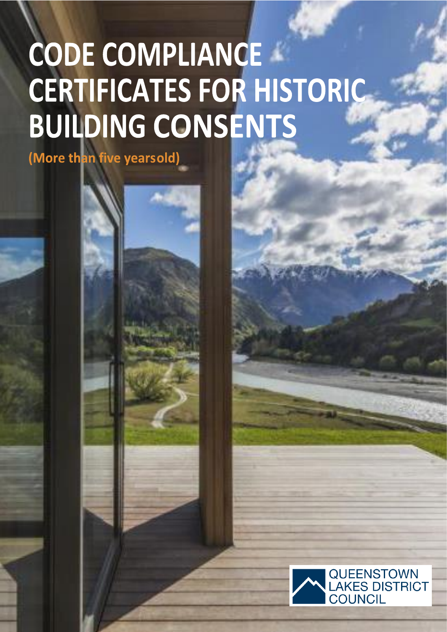# CODE COMPLIANCE **CERTIFICATES FOR HISTORIC BUILDING CONSENTS**

(More than five yearsold)

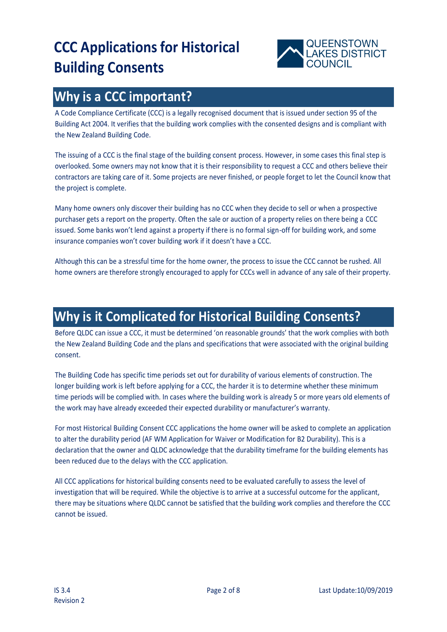

### **Why is a CCC important?**

A Code Compliance Certificate (CCC) is a legally recognised document that is issued under section 95 of the Building Act 2004. It verifies that the building work complies with the consented designs and is compliant with the New Zealand Building Code.

The issuing of a CCC is the final stage of the building consent process. However, in some cases this final step is overlooked. Some owners may not know that it is their responsibility to request a CCC and others believe their contractors are taking care of it. Some projects are never finished, or people forget to let the Council know that the project is complete.

Many home owners only discover their building has no CCC when they decide to sell or when a prospective purchaser gets a report on the property. Often the sale or auction of a property relies on there being a CCC issued. Some banks won't lend against a property if there is no formal sign-off for building work, and some insurance companies won't cover building work if it doesn't have a CCC.

Although this can be a stressful time for the home owner, the process to issue the CCC cannot be rushed. All home owners are therefore strongly encouraged to apply for CCCs well in advance of any sale of their property.

## **Why is it Complicated for Historical Building Consents?**

Before QLDC can issue a CCC, it must be determined 'on reasonable grounds' that the work complies with both the New Zealand Building Code and the plans and specifications that were associated with the original building consent.

The Building Code has specific time periods set out for durability of various elements of construction. The longer building work is left before applying for a CCC, the harder it is to determine whether these minimum time periods will be complied with. In cases where the building work is already 5 or more years old elements of the work may have already exceeded their expected durability or manufacturer's warranty.

For most Historical Building Consent CCC applications the home owner will be asked to complete an application to alter the durability period (AF WM Application for Waiver or Modification for B2 Durability). This is a declaration that the owner and QLDC acknowledge that the durability timeframe for the building elements has been reduced due to the delays with the CCC application.

All CCC applications for historical building consents need to be evaluated carefully to assess the level of investigation that will be required. While the objective is to arrive at a successful outcome for the applicant, there may be situations where QLDC cannot be satisfied that the building work complies and therefore the CCC cannot be issued.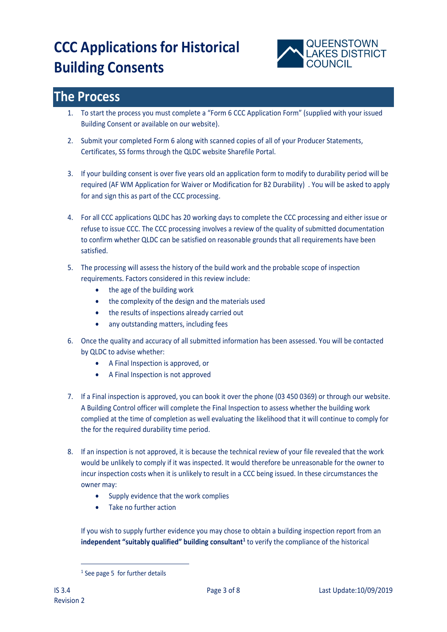

### **The Process**

- 1. To start the process you must complete a "Form 6 CCC Application Form" (supplied with your issued Building Consent or available on our website).
- 2. Submit your completed Form 6 along with scanned copies of all of your Producer Statements, Certificates, SS forms through the QLDC website Sharefile Portal.
- 3. If your building consent is over five years old an application form to modify to durability period will be required (AF WM Application for Waiver or Modification for B2 Durability) . You will be asked to apply for and sign this as part of the CCC processing.
- 4. For all CCC applications QLDC has 20 working days to complete the CCC processing and either issue or refuse to issue CCC. The CCC processing involves a review of the quality of submitted documentation to confirm whether QLDC can be satisfied on reasonable grounds that all requirements have been satisfied.
- 5. The processing will assess the history of the build work and the probable scope of inspection requirements. Factors considered in this review include:
	- the age of the building work
	- the complexity of the design and the materials used
	- the results of inspections already carried out
	- any outstanding matters, including fees
- 6. Once the quality and accuracy of all submitted information has been assessed. You will be contacted by QLDC to advise whether:
	- A Final Inspection is approved, or
	- A Final Inspection is not approved
- 7. If a Final inspection is approved, you can book it over the phone (03 450 0369) or through our website. A Building Control officer will complete the Final Inspection to assess whether the building work complied at the time of completion as well evaluating the likelihood that it will continue to comply for the for the required durability time period.
- 8. If an inspection is not approved, it is because the technical review of your file revealed that the work would be unlikely to comply if it was inspected. It would therefore be unreasonable for the owner to incur inspection costs when it is unlikely to result in a CCC being issued. In these circumstances the owner may:
	- Supply evidence that the work complies
	- Take no further action

If you wish to supply further evidence you may chose to obtain a building inspection report from an **independent "suitably qualified" building consultant<sup>1</sup>** to verify the compliance of the historical

-

<sup>&</sup>lt;sup>1</sup> See page 5 for further details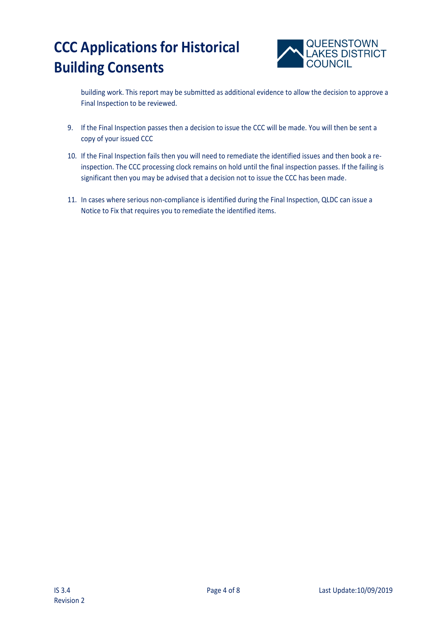

building work. This report may be submitted as additional evidence to allow the decision to approve a Final Inspection to be reviewed.

- 9. If the Final Inspection passes then a decision to issue the CCC will be made. You will then be sent a copy of your issued CCC
- 10. If the Final Inspection fails then you will need to remediate the identified issues and then book a reinspection. The CCC processing clock remains on hold until the final inspection passes. If the failing is significant then you may be advised that a decision not to issue the CCC has been made.
- 11. In cases where serious non-compliance is identified during the Final Inspection, QLDC can issue a Notice to Fix that requires you to remediate the identified items.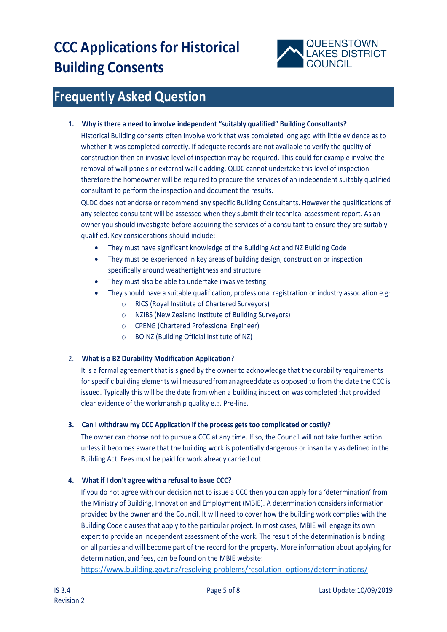

### **Frequently Asked Question**

#### **1. Why is there a need to involve independent "suitably qualified" Building Consultants?**

Historical Building consents often involve work that was completed long ago with little evidence as to whether it was completed correctly. If adequate records are not available to verify the quality of construction then an invasive level of inspection may be required. This could for example involve the removal of wall panels or external wall cladding. QLDC cannot undertake this level of inspection therefore the homeowner will be required to procure the services of an independent suitably qualified consultant to perform the inspection and document the results.

QLDC does not endorse or recommend any specific Building Consultants. However the qualifications of any selected consultant will be assessed when they submit their technical assessment report. As an owner you should investigate before acquiring the services of a consultant to ensure they are suitably qualified. Key considerations should include:

- They must have significant knowledge of the Building Act and NZ Building Code
- They must be experienced in key areas of building design, construction or inspection specifically around weathertightness and structure
- They must also be able to undertake invasive testing
- They should have a suitable qualification, professional registration or industry association e.g:
	- o RICS (Royal Institute of Chartered Surveyors)
	- o NZIBS (New Zealand Institute of Building Surveyors)
	- o CPENG (Chartered Professional Engineer)
	- o BOINZ (Building Official Institute of NZ)

#### 2. **What is a B2 Durability Modification Application**?

It is a formal agreement that is signed by the owner to acknowledge that the durabilityrequirements for specific building elements willmeasuredfromanagreeddate as opposed to from the date the CCC is issued. Typically this will be the date from when a building inspection was completed that provided clear evidence of the workmanship quality e.g. Pre-line.

#### **3. Can I withdraw my CCC Application if the process gets too complicated or costly?**

The owner can choose not to pursue a CCC at any time. If so, the Council will not take further action unless it becomes aware that the building work is potentially dangerous or insanitary as defined in the Building Act. Fees must be paid for work already carried out.

#### **4. What if I don't agree with a refusal to issue CCC?**

If you do not agree with our decision not to issue a CCC then you can apply for a 'determination' from the Ministry of Building, Innovation and Employment (MBIE). A determination considers information provided by the owner and the Council. It will need to cover how the building work complies with the Building Code clauses that apply to the particular project. In most cases, MBIE will engage its own expert to provide an independent assessment of the work. The result of the determination is binding on all parties and will become part of the record for the property. More information about applying for determination, and fees, can be found on the MBIE website:

[https://www.building.govt.nz/resolving-problems/resolution-](https://www.building.govt.nz/resolving-problems/resolution-%20options/determinations/) options/determinations/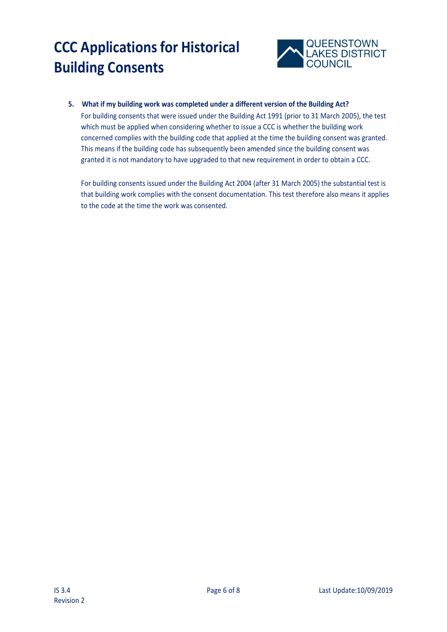

#### **5. What if my building work was completed under a different version of the Building Act?**

For building consents that were issued under the Building Act 1991 (prior to 31 March 2005), the test which must be applied when considering whether to issue a CCC is whether the building work concerned complies with the building code that applied at the time the building consent was granted. This means if the building code has subsequently been amended since the building consent was granted it is not mandatory to have upgraded to that new requirement in order to obtain a CCC.

For building consents issued under the Building Act 2004 (after 31 March 2005) the substantial test is that building work complies with the consent documentation. This test therefore also means it applies to the code at the time the work was consented.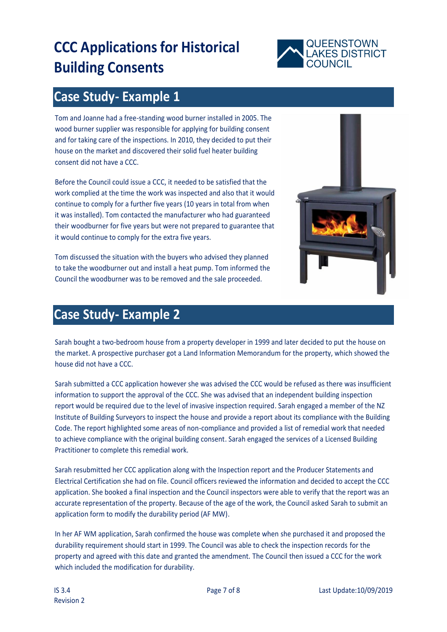

### **Case Study- Example 1**

Tom and Joanne had a free-standing wood burner installed in 2005. The wood burner supplier was responsible for applying for building consent and for taking care of the inspections. In 2010, they decided to put their house on the market and discovered their solid fuel heater building consent did not have a CCC.

Before the Council could issue a CCC, it needed to be satisfied that the work complied at the time the work was inspected and also that it would continue to comply for a further five years (10 years in total from when it was installed). Tom contacted the manufacturer who had guaranteed their woodburner for five years but were not prepared to guarantee that it would continue to comply for the extra five years.

Tom discussed the situation with the buyers who advised they planned to take the woodburner out and install a heat pump. Tom informed the Council the woodburner was to be removed and the sale proceeded.



### **Case Study- Example 2**

Sarah bought a two-bedroom house from a property developer in 1999 and later decided to put the house on the market. A prospective purchaser got a Land Information Memorandum for the property, which showed the house did not have a CCC.

Sarah submitted a CCC application however she was advised the CCC would be refused as there was insufficient information to support the approval of the CCC. She was advised that an independent building inspection report would be required due to the level of invasive inspection required. Sarah engaged a member of the NZ Institute of Building Surveyors to inspect the house and provide a report about its compliance with the Building Code. The report highlighted some areas of non-compliance and provided a list of remedial work that needed to achieve compliance with the original building consent. Sarah engaged the services of a Licensed Building Practitioner to complete this remedial work.

Sarah resubmitted her CCC application along with the Inspection report and the Producer Statements and Electrical Certification she had on file. Council officers reviewed the information and decided to accept the CCC application. She booked a final inspection and the Council inspectors were able to verify that the report was an accurate representation of the property. Because of the age of the work, the Council asked Sarah to submit an application form to modify the durability period (AF MW).

In her AF WM application, Sarah confirmed the house was complete when she purchased it and proposed the durability requirement should start in 1999. The Council was able to check the inspection records for the property and agreed with this date and granted the amendment. The Council then issued a CCC for the work which included the modification for durability.